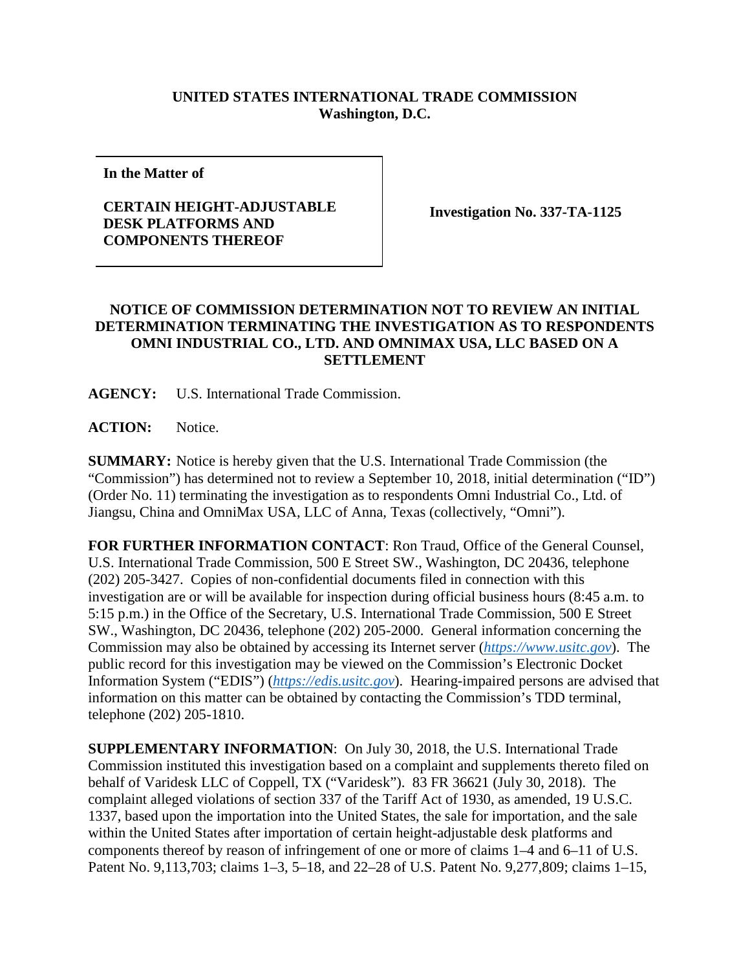## **UNITED STATES INTERNATIONAL TRADE COMMISSION Washington, D.C.**

**In the Matter of**

## **CERTAIN HEIGHT-ADJUSTABLE DESK PLATFORMS AND COMPONENTS THEREOF**

**Investigation No. 337-TA-1125**

## **NOTICE OF COMMISSION DETERMINATION NOT TO REVIEW AN INITIAL DETERMINATION TERMINATING THE INVESTIGATION AS TO RESPONDENTS OMNI INDUSTRIAL CO., LTD. AND OMNIMAX USA, LLC BASED ON A SETTLEMENT**

**AGENCY:** U.S. International Trade Commission.

**ACTION:** Notice.

**SUMMARY:** Notice is hereby given that the U.S. International Trade Commission (the "Commission") has determined not to review a September 10, 2018, initial determination ("ID") (Order No. 11) terminating the investigation as to respondents Omni Industrial Co., Ltd. of Jiangsu, China and OmniMax USA, LLC of Anna, Texas (collectively, "Omni").

**FOR FURTHER INFORMATION CONTACT**: Ron Traud, Office of the General Counsel, U.S. International Trade Commission, 500 E Street SW., Washington, DC 20436, telephone (202) 205-3427. Copies of non-confidential documents filed in connection with this investigation are or will be available for inspection during official business hours (8:45 a.m. to 5:15 p.m.) in the Office of the Secretary, U.S. International Trade Commission, 500 E Street SW., Washington, DC 20436, telephone (202) 205-2000. General information concerning the Commission may also be obtained by accessing its Internet server (*[https://www.usitc.gov](https://www.usitc.gov/)*). The public record for this investigation may be viewed on the Commission's Electronic Docket Information System ("EDIS") (*[https://edis.usitc.gov](https://edis.usitc.gov/)*). Hearing-impaired persons are advised that information on this matter can be obtained by contacting the Commission's TDD terminal, telephone (202) 205-1810.

**SUPPLEMENTARY INFORMATION**: On July 30, 2018, the U.S. International Trade Commission instituted this investigation based on a complaint and supplements thereto filed on behalf of Varidesk LLC of Coppell, TX ("Varidesk"). 83 FR 36621 (July 30, 2018). The complaint alleged violations of section 337 of the Tariff Act of 1930, as amended, 19 U.S.C. 1337, based upon the importation into the United States, the sale for importation, and the sale within the United States after importation of certain height-adjustable desk platforms and components thereof by reason of infringement of one or more of claims 1–4 and 6–11 of U.S. Patent No. 9,113,703; claims 1–3, 5–18, and 22–28 of U.S. Patent No. 9,277,809; claims 1–15,